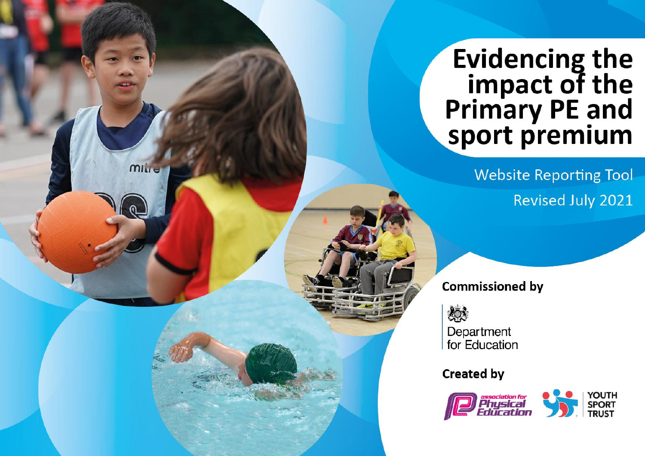## Evidencing the<br>
impact of the<br>
Primary PE and<br>
sport premium

**Website Reporting Tool** Revised July 2021

**Commissioned by** 

燃

mille

Department for Education

**Created by** 

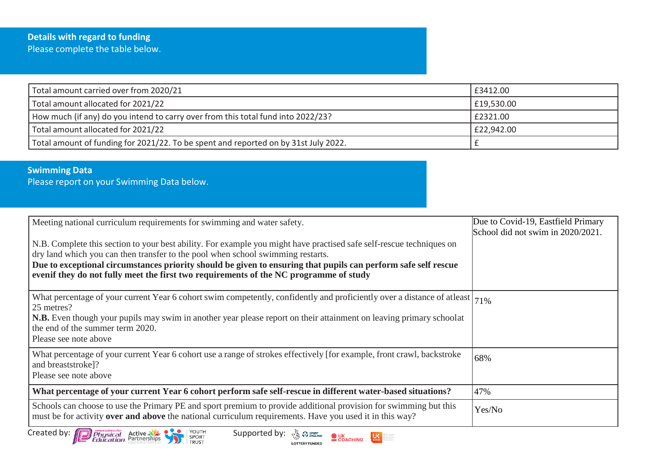| Total amount carried over from 2020/21                                              | £3412.00   |
|-------------------------------------------------------------------------------------|------------|
| Total amount allocated for 2021/22                                                  | £19,530.00 |
| How much (if any) do you intend to carry over from this total fund into 2022/23?    | E2321.00   |
| Total amount allocated for 2021/22                                                  | E22,942.00 |
| Total amount of funding for 2021/22. To be spent and reported on by 31st July 2022. |            |

## **Swimming Data**

Please report on your Swimming Data below.

| Meeting national curriculum requirements for swimming and water safety.                                                                                                                                                     | Due to Covid-19, Eastfield Primary<br>School did not swim in 2020/2021. |
|-----------------------------------------------------------------------------------------------------------------------------------------------------------------------------------------------------------------------------|-------------------------------------------------------------------------|
| N.B. Complete this section to your best ability. For example you might have practised safe self-rescue techniques on                                                                                                        |                                                                         |
| dry land which you can then transfer to the pool when school swimming restarts.<br>Due to exceptional circumstances priority should be given to ensuring that pupils can perform safe self rescue                           |                                                                         |
| even if they do not fully meet the first two requirements of the NC programme of study                                                                                                                                      |                                                                         |
| What percentage of your current Year 6 cohort swim competently, confidently and proficiently over a distance of atleast $ 71\% $<br>25 metres?                                                                              |                                                                         |
| N.B. Even though your pupils may swim in another year please report on their attainment on leaving primary schoolat<br>the end of the summer term 2020.                                                                     |                                                                         |
| Please see note above                                                                                                                                                                                                       |                                                                         |
| What percentage of your current Year 6 cohort use a range of strokes effectively [for example, front crawl, backstroke<br>and breaststroke]?<br>Please see note above                                                       | 68%                                                                     |
|                                                                                                                                                                                                                             |                                                                         |
| What percentage of your current Year 6 cohort perform safe self-rescue in different water-based situations?                                                                                                                 | 47%                                                                     |
| Schools can choose to use the Primary PE and sport premium to provide additional provision for swimming but this<br>must be for activity over and above the national curriculum requirements. Have you used it in this way? | Yes/No                                                                  |

**LOTTERY FUNDED** 

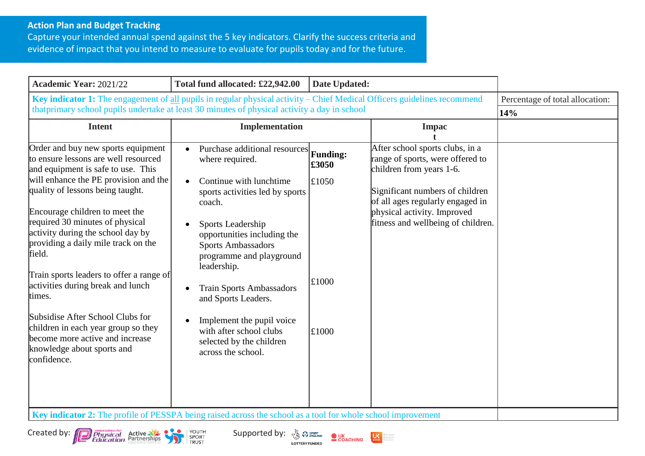## **Action Plan and Budget Tracking**

Capture your intended annual spend against the 5 key indicators. Clarify the success criteria and evidence of impact that you intend to measure to evaluate for pupils today and for the future.

| Key indicator 1: The engagement of all pupils in regular physical activity – Chief Medical Officers guidelines recommend<br>Percentage of total allocation:<br>that primary school pupils undertake at least 30 minutes of physical activity a day in school<br>14%<br><b>Intent</b><br>Implementation<br><b>Impac</b><br>Order and buy new sports equipment<br>After school sports clubs, in a<br>Purchase additional resources<br><b>Funding:</b><br>to ensure lessons are well resourced<br>range of sports, were offered to<br>where required.<br>£3050<br>children from years 1-6.<br>and equipment is safe to use. This<br>will enhance the PE provision and the<br>Continue with lunchtime<br>£1050<br>$\bullet$<br>quality of lessons being taught.<br>Significant numbers of children<br>sports activities led by sports<br>of all ages regularly engaged in<br>coach.<br>Encourage children to meet the<br>physical activity. Improved<br>required 30 minutes of physical<br>fitness and wellbeing of children.<br>Sports Leadership<br>activity during the school day by<br>opportunities including the<br>providing a daily mile track on the<br>Sports Ambassadors<br>field.<br>programme and playground<br>leadership.<br>Train sports leaders to offer a range of<br>£1000<br>activities during break and lunch<br><b>Train Sports Ambassadors</b><br>times.<br>and Sports Leaders.<br>Subsidise After School Clubs for<br>Implement the pupil voice<br>children in each year group so they<br>with after school clubs<br>£1000<br>become more active and increase<br>selected by the children<br>knowledge about sports and<br>across the school.<br>confidence. | <b>Academic Year: 2021/22</b> | Total fund allocated: £22,942.00 | Date Updated: |  |  |
|----------------------------------------------------------------------------------------------------------------------------------------------------------------------------------------------------------------------------------------------------------------------------------------------------------------------------------------------------------------------------------------------------------------------------------------------------------------------------------------------------------------------------------------------------------------------------------------------------------------------------------------------------------------------------------------------------------------------------------------------------------------------------------------------------------------------------------------------------------------------------------------------------------------------------------------------------------------------------------------------------------------------------------------------------------------------------------------------------------------------------------------------------------------------------------------------------------------------------------------------------------------------------------------------------------------------------------------------------------------------------------------------------------------------------------------------------------------------------------------------------------------------------------------------------------------------------------------------------------------------------------------------------------------------------------|-------------------------------|----------------------------------|---------------|--|--|
|                                                                                                                                                                                                                                                                                                                                                                                                                                                                                                                                                                                                                                                                                                                                                                                                                                                                                                                                                                                                                                                                                                                                                                                                                                                                                                                                                                                                                                                                                                                                                                                                                                                                                  |                               |                                  |               |  |  |
|                                                                                                                                                                                                                                                                                                                                                                                                                                                                                                                                                                                                                                                                                                                                                                                                                                                                                                                                                                                                                                                                                                                                                                                                                                                                                                                                                                                                                                                                                                                                                                                                                                                                                  |                               |                                  |               |  |  |
| <b>Key indicator 2:</b> The profile of PESSPA being raised across the school as a tool for whole school improvement                                                                                                                                                                                                                                                                                                                                                                                                                                                                                                                                                                                                                                                                                                                                                                                                                                                                                                                                                                                                                                                                                                                                                                                                                                                                                                                                                                                                                                                                                                                                                              |                               |                                  |               |  |  |

**LOTTERY FUNDED** 

 $U\zeta$ orepeople<br>oreactive<br>oreatten



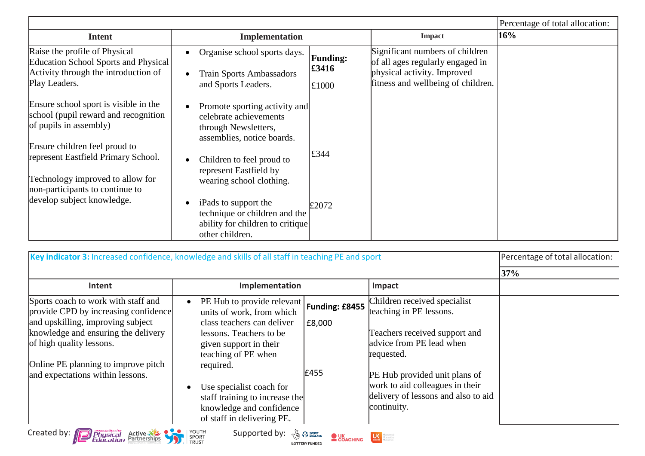|                                                                                                                                                                                                                                                                                      |                                                                                                                                                                                                                                                                                               |                                   |                                                                                                                                          | Percentage of total allocation: |
|--------------------------------------------------------------------------------------------------------------------------------------------------------------------------------------------------------------------------------------------------------------------------------------|-----------------------------------------------------------------------------------------------------------------------------------------------------------------------------------------------------------------------------------------------------------------------------------------------|-----------------------------------|------------------------------------------------------------------------------------------------------------------------------------------|---------------------------------|
| <b>Intent</b>                                                                                                                                                                                                                                                                        | Implementation                                                                                                                                                                                                                                                                                |                                   | <b>Impact</b>                                                                                                                            | 16%                             |
| Raise the profile of Physical<br>Education School Sports and Physical<br>Activity through the introduction of<br>Play Leaders.                                                                                                                                                       | Organise school sports days.<br><b>Train Sports Ambassadors</b><br>and Sports Leaders.                                                                                                                                                                                                        | <b>Funding:</b><br>£3416<br>£1000 | Significant numbers of children<br>of all ages regularly engaged in<br>physical activity. Improved<br>fitness and wellbeing of children. |                                 |
| Ensure school sport is visible in the<br>school (pupil reward and recognition<br>of pupils in assembly)<br>Ensure children feel proud to<br>represent Eastfield Primary School.<br>Technology improved to allow for<br>non-participants to continue to<br>develop subject knowledge. | Promote sporting activity and<br>celebrate achievements<br>through Newsletters,<br>assemblies, notice boards.<br>Children to feel proud to<br>represent Eastfield by<br>wearing school clothing.<br>iPads to support the<br>technique or children and the<br>ability for children to critique | £344<br>£2072                     |                                                                                                                                          |                                 |

| Key indicator 3: Increased confidence, knowledge and skills of all staff in teaching PE and sport                                                                                                                                                              |                                                                                                                                                                                                                                                                                                                                      |                | Percentage of total allocation:                                                                                                                                                                                                                              |     |
|----------------------------------------------------------------------------------------------------------------------------------------------------------------------------------------------------------------------------------------------------------------|--------------------------------------------------------------------------------------------------------------------------------------------------------------------------------------------------------------------------------------------------------------------------------------------------------------------------------------|----------------|--------------------------------------------------------------------------------------------------------------------------------------------------------------------------------------------------------------------------------------------------------------|-----|
|                                                                                                                                                                                                                                                                |                                                                                                                                                                                                                                                                                                                                      |                |                                                                                                                                                                                                                                                              | 37% |
| Intent                                                                                                                                                                                                                                                         | Implementation                                                                                                                                                                                                                                                                                                                       |                | Impact                                                                                                                                                                                                                                                       |     |
| Sports coach to work with staff and<br>provide CPD by increasing confidence<br>and upskilling, improving subject<br>knowledge and ensuring the delivery<br>of high quality lessons.<br>Online PE planning to improve pitch<br>and expectations within lessons. | PE Hub to provide relevant   Funding: £8455<br>units of work, from which<br>class teachers can deliver<br>lessons. Teachers to be<br>given support in their<br>teaching of PE when<br>required.<br>Use specialist coach for<br>$\bullet$<br>staff training to increase the<br>knowledge and confidence<br>of staff in delivering PE. | E8,000<br>£455 | Children received specialist<br>teaching in PE lessons.<br>Teachers received support and<br>advice from PE lead when<br>requested.<br>PE Hub provided unit plans of<br>work to aid colleagues in their<br>delivery of lessons and also to aid<br>continuity. |     |
| Created by: <b>Physical</b><br>YOUTH<br>Supported by: $\sqrt{\xi_0}$ $\Omega$ spont<br>Active Manuel Pro<br><b>OUK</b><br>COACHING<br>SPORT<br>TRUST<br><b>LOTTERY FUNDED</b>                                                                                  |                                                                                                                                                                                                                                                                                                                                      |                |                                                                                                                                                                                                                                                              |     |



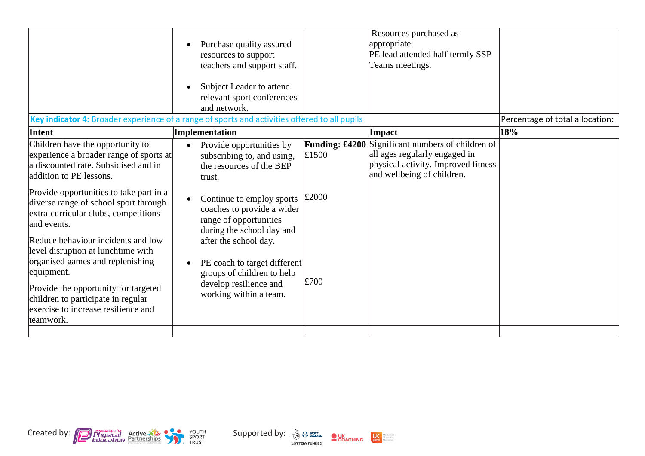| Key indicator 4: Broader experience of a range of sports and activities offered to all pupils                                                                                                                                                                                                                                                                                                                                                                                                                                                             | Purchase quality assured<br>$\bullet$<br>resources to support<br>teachers and support staff.<br>Subject Leader to attend<br>relevant sport conferences<br>and network.                                                                                                                                                                                                              |                                                 | Resources purchased as<br>appropriate.<br>PE lead attended half termly SSP<br>Teams meetings.                                            | Percentage of total allocation: |
|-----------------------------------------------------------------------------------------------------------------------------------------------------------------------------------------------------------------------------------------------------------------------------------------------------------------------------------------------------------------------------------------------------------------------------------------------------------------------------------------------------------------------------------------------------------|-------------------------------------------------------------------------------------------------------------------------------------------------------------------------------------------------------------------------------------------------------------------------------------------------------------------------------------------------------------------------------------|-------------------------------------------------|------------------------------------------------------------------------------------------------------------------------------------------|---------------------------------|
| Intent                                                                                                                                                                                                                                                                                                                                                                                                                                                                                                                                                    | Implementation                                                                                                                                                                                                                                                                                                                                                                      |                                                 | Impact                                                                                                                                   | 18%                             |
| Children have the opportunity to<br>experience a broader range of sports at<br>a discounted rate. Subsidised and in<br>addition to PE lessons.<br>Provide opportunities to take part in a<br>diverse range of school sport through<br>extra-curricular clubs, competitions<br>and events.<br>Reduce behaviour incidents and low<br>level disruption at lunchtime with<br>organised games and replenishing<br>equipment.<br>Provide the opportunity for targeted<br>children to participate in regular<br>exercise to increase resilience and<br>teamwork. | Provide opportunities by<br>$\bullet$<br>subscribing to, and using,<br>the resources of the BEP<br>trust.<br>Continue to employ sports<br>$\bullet$<br>coaches to provide a wider<br>range of opportunities<br>during the school day and<br>after the school day.<br>PE coach to target different<br>groups of children to help<br>develop resilience and<br>working within a team. | <b>Funding: £4200</b><br>£1500<br>£2000<br>£700 | Significant numbers of children of<br>all ages regularly engaged in<br>physical activity. Improved fitness<br>and wellbeing of children. |                                 |
|                                                                                                                                                                                                                                                                                                                                                                                                                                                                                                                                                           |                                                                                                                                                                                                                                                                                                                                                                                     |                                                 |                                                                                                                                          |                                 |